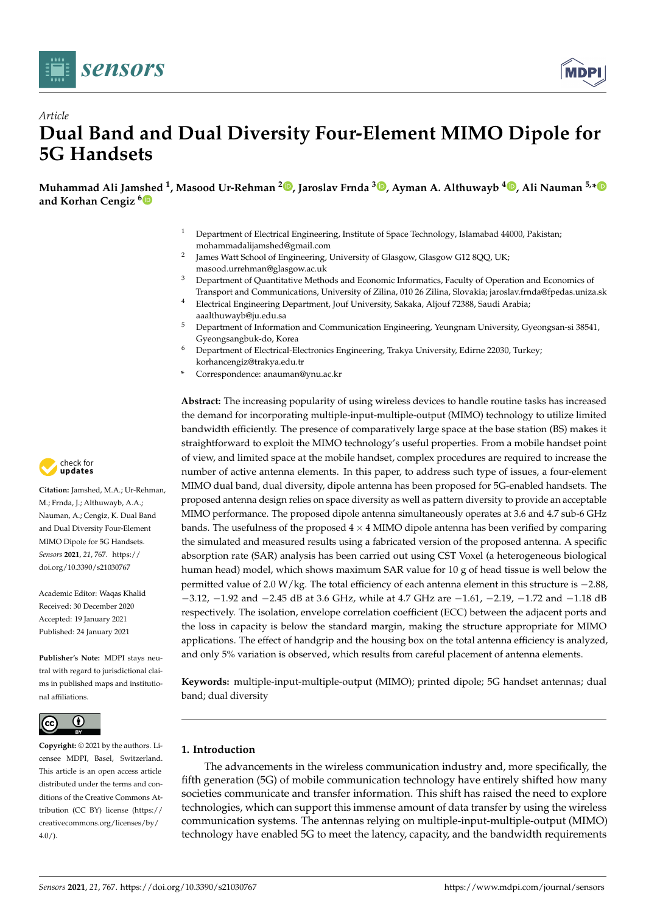



# *Article* **Dual Band and Dual Diversity Four-Element MIMO Dipole for 5G Handsets**

**Muhammad Ali Jamshed <sup>1</sup> , Masood Ur-Rehman <sup>2</sup> [,](https://orcid.org/0000-0001-6926-7983) Jaroslav Frnda <sup>3</sup> [,](https://orcid.org/0000-0001-6065-3087) Ayman A. Althuwayb <sup>4</sup> [,](https://orcid.org/0000-0001-5160-5016) Ali Nauman 5,[\\*](https://orcid.org/0000-0002-2133-5286) and Korhan Cengiz [6](https://orcid.org/0000-0001-6594-8861)**

- <sup>1</sup> Department of Electrical Engineering, Institute of Space Technology, Islamabad 44000, Pakistan; mohammadalijamshed@gmail.com
- 2 James Watt School of Engineering, University of Glasgow, Glasgow G12 8QQ, UK; masood.urrehman@glasgow.ac.uk
- <sup>3</sup> Department of Quantitative Methods and Economic Informatics, Faculty of Operation and Economics of Transport and Communications, University of Zilina, 010 26 Zilina, Slovakia; jaroslav.frnda@fpedas.uniza.sk
- <sup>4</sup> Electrical Engineering Department, Jouf University, Sakaka, Aljouf 72388, Saudi Arabia; aaalthuwayb@ju.edu.sa
- <sup>5</sup> Department of Information and Communication Engineering, Yeungnam University, Gyeongsan-si 38541, Gyeongsangbuk-do, Korea
- <sup>6</sup> Department of Electrical-Electronics Engineering, Trakya University, Edirne 22030, Turkey; korhancengiz@trakya.edu.tr
- **\*** Correspondence: anauman@ynu.ac.kr

**Abstract:** The increasing popularity of using wireless devices to handle routine tasks has increased the demand for incorporating multiple-input-multiple-output (MIMO) technology to utilize limited bandwidth efficiently. The presence of comparatively large space at the base station (BS) makes it straightforward to exploit the MIMO technology's useful properties. From a mobile handset point of view, and limited space at the mobile handset, complex procedures are required to increase the number of active antenna elements. In this paper, to address such type of issues, a four-element MIMO dual band, dual diversity, dipole antenna has been proposed for 5G-enabled handsets. The proposed antenna design relies on space diversity as well as pattern diversity to provide an acceptable MIMO performance. The proposed dipole antenna simultaneously operates at 3.6 and 4.7 sub-6 GHz bands. The usefulness of the proposed  $4 \times 4$  MIMO dipole antenna has been verified by comparing the simulated and measured results using a fabricated version of the proposed antenna. A specific absorption rate (SAR) analysis has been carried out using CST Voxel (a heterogeneous biological human head) model, which shows maximum SAR value for 10 g of head tissue is well below the permitted value of 2.0 W/kg. The total efficiency of each antenna element in this structure is −2.88, −3.12, −1.92 and −2.45 dB at 3.6 GHz, while at 4.7 GHz are −1.61, −2.19, −1.72 and −1.18 dB respectively. The isolation, envelope correlation coefficient (ECC) between the adjacent ports and the loss in capacity is below the standard margin, making the structure appropriate for MIMO applications. The effect of handgrip and the housing box on the total antenna efficiency is analyzed, and only 5% variation is observed, which results from careful placement of antenna elements.

**Keywords:** multiple-input-multiple-output (MIMO); printed dipole; 5G handset antennas; dual band; dual diversity

# **1. Introduction**

The advancements in the wireless communication industry and, more specifically, the fifth generation (5G) of mobile communication technology have entirely shifted how many societies communicate and transfer information. This shift has raised the need to explore technologies, which can support this immense amount of data transfer by using the wireless communication systems. The antennas relying on multiple-input-multiple-output (MIMO) technology have enabled 5G to meet the latency, capacity, and the bandwidth requirements



**Citation:** Jamshed, M.A.; Ur-Rehman, M.; Frnda, J.; Althuwayb, A.A.; Nauman, A.; Cengiz, K. Dual Band and Dual Diversity Four-Element MIMO Dipole for 5G Handsets. *Sensors* **2021**, *21*, 767. [https://](https://doi.org/10.3390/s21030767) [doi.org/10.3390/s21030767](https://doi.org/10.3390/s21030767)

Academic Editor: Waqas Khalid Received: 30 December 2020 Accepted: 19 January 2021 Published: 24 January 2021

**Publisher's Note:** MDPI stays neutral with regard to jurisdictional claims in published maps and institutional affiliations.



**Copyright:** © 2021 by the authors. Licensee MDPI, Basel, Switzerland. This article is an open access article distributed under the terms and conditions of the Creative Commons Attribution (CC BY) license [\(https://](https://creativecommons.org/licenses/by/4.0/) [creativecommons.org/licenses/by/](https://creativecommons.org/licenses/by/4.0/)  $4.0/$ ).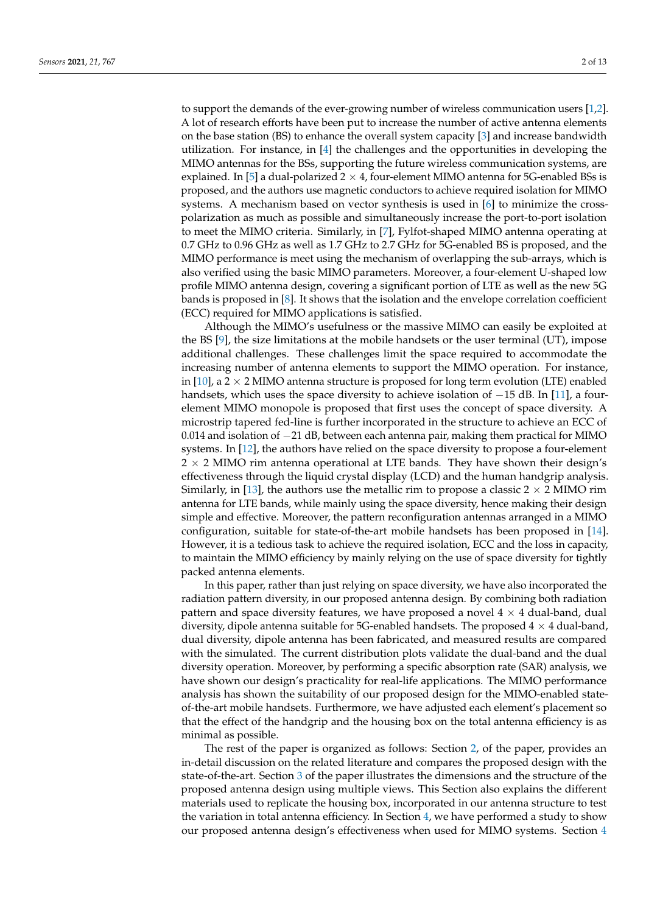to support the demands of the ever-growing number of wireless communication users [\[1](#page-11-0)[,2\]](#page-11-1). A lot of research efforts have been put to increase the number of active antenna elements on the base station (BS) to enhance the overall system capacity [\[3\]](#page-11-2) and increase bandwidth utilization. For instance, in [\[4\]](#page-11-3) the challenges and the opportunities in developing the MIMO antennas for the BSs, supporting the future wireless communication systems, are explained. In [\[5\]](#page-11-4) a dual-polarized  $2 \times 4$ , four-element MIMO antenna for 5G-enabled BSs is proposed, and the authors use magnetic conductors to achieve required isolation for MIMO systems. A mechanism based on vector synthesis is used in [\[6\]](#page-11-5) to minimize the crosspolarization as much as possible and simultaneously increase the port-to-port isolation to meet the MIMO criteria. Similarly, in [\[7\]](#page-11-6), Fylfot-shaped MIMO antenna operating at 0.7 GHz to 0.96 GHz as well as 1.7 GHz to 2.7 GHz for 5G-enabled BS is proposed, and the MIMO performance is meet using the mechanism of overlapping the sub-arrays, which is also verified using the basic MIMO parameters. Moreover, a four-element U-shaped low profile MIMO antenna design, covering a significant portion of LTE as well as the new 5G bands is proposed in [\[8\]](#page-11-7). It shows that the isolation and the envelope correlation coefficient (ECC) required for MIMO applications is satisfied.

Although the MIMO's usefulness or the massive MIMO can easily be exploited at the BS [\[9\]](#page-11-8), the size limitations at the mobile handsets or the user terminal (UT), impose additional challenges. These challenges limit the space required to accommodate the increasing number of antenna elements to support the MIMO operation. For instance, in [\[10\]](#page-11-9), a  $2 \times 2$  MIMO antenna structure is proposed for long term evolution (LTE) enabled handsets, which uses the space diversity to achieve isolation of  $-15$  dB. In [\[11\]](#page-11-10), a fourelement MIMO monopole is proposed that first uses the concept of space diversity. A microstrip tapered fed-line is further incorporated in the structure to achieve an ECC of 0.014 and isolation of −21 dB, between each antenna pair, making them practical for MIMO systems. In [\[12\]](#page-11-11), the authors have relied on the space diversity to propose a four-element  $2 \times 2$  MIMO rim antenna operational at LTE bands. They have shown their design's effectiveness through the liquid crystal display (LCD) and the human handgrip analysis. Similarly, in [\[13\]](#page-11-12), the authors use the metallic rim to propose a classic  $2 \times 2$  MIMO rim antenna for LTE bands, while mainly using the space diversity, hence making their design simple and effective. Moreover, the pattern reconfiguration antennas arranged in a MIMO configuration, suitable for state-of-the-art mobile handsets has been proposed in [\[14\]](#page-11-13). However, it is a tedious task to achieve the required isolation, ECC and the loss in capacity, to maintain the MIMO efficiency by mainly relying on the use of space diversity for tightly packed antenna elements.

In this paper, rather than just relying on space diversity, we have also incorporated the radiation pattern diversity, in our proposed antenna design. By combining both radiation pattern and space diversity features, we have proposed a novel  $4 \times 4$  dual-band, dual diversity, dipole antenna suitable for 5G-enabled handsets. The proposed  $4 \times 4$  dual-band, dual diversity, dipole antenna has been fabricated, and measured results are compared with the simulated. The current distribution plots validate the dual-band and the dual diversity operation. Moreover, by performing a specific absorption rate (SAR) analysis, we have shown our design's practicality for real-life applications. The MIMO performance analysis has shown the suitability of our proposed design for the MIMO-enabled stateof-the-art mobile handsets. Furthermore, we have adjusted each element's placement so that the effect of the handgrip and the housing box on the total antenna efficiency is as minimal as possible.

The rest of the paper is organized as follows: Section [2,](#page-2-0) of the paper, provides an in-detail discussion on the related literature and compares the proposed design with the state-of-the-art. Section [3](#page-3-0) of the paper illustrates the dimensions and the structure of the proposed antenna design using multiple views. This Section also explains the different materials used to replicate the housing box, incorporated in our antenna structure to test the variation in total antenna efficiency. In Section [4,](#page-5-0) we have performed a study to show our proposed antenna design's effectiveness when used for MIMO systems. Section [4](#page-5-0)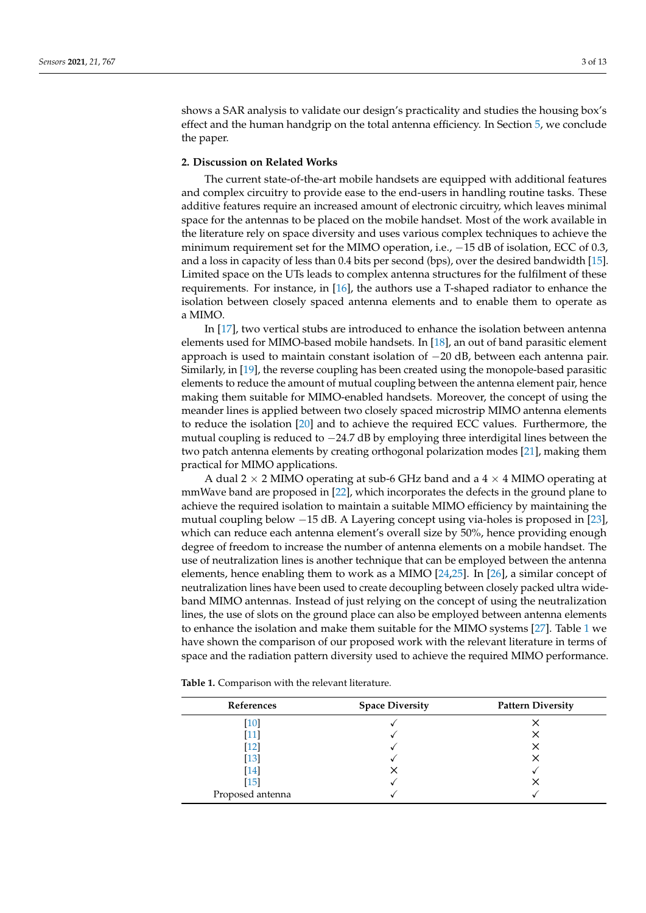shows a SAR analysis to validate our design's practicality and studies the housing box's effect and the human handgrip on the total antenna efficiency. In Section [5,](#page-10-0) we conclude the paper.

## <span id="page-2-0"></span>**2. Discussion on Related Works**

The current state-of-the-art mobile handsets are equipped with additional features and complex circuitry to provide ease to the end-users in handling routine tasks. These additive features require an increased amount of electronic circuitry, which leaves minimal space for the antennas to be placed on the mobile handset. Most of the work available in the literature rely on space diversity and uses various complex techniques to achieve the minimum requirement set for the MIMO operation, i.e., −15 dB of isolation, ECC of 0.3, and a loss in capacity of less than 0.4 bits per second (bps), over the desired bandwidth [\[15\]](#page-11-14). Limited space on the UTs leads to complex antenna structures for the fulfilment of these requirements. For instance, in [\[16\]](#page-11-15), the authors use a T-shaped radiator to enhance the isolation between closely spaced antenna elements and to enable them to operate as a MIMO.

In [\[17\]](#page-11-16), two vertical stubs are introduced to enhance the isolation between antenna elements used for MIMO-based mobile handsets. In [\[18\]](#page-11-17), an out of band parasitic element approach is used to maintain constant isolation of −20 dB, between each antenna pair. Similarly, in [\[19\]](#page-11-18), the reverse coupling has been created using the monopole-based parasitic elements to reduce the amount of mutual coupling between the antenna element pair, hence making them suitable for MIMO-enabled handsets. Moreover, the concept of using the meander lines is applied between two closely spaced microstrip MIMO antenna elements to reduce the isolation [\[20\]](#page-11-19) and to achieve the required ECC values. Furthermore, the mutual coupling is reduced to −24.7 dB by employing three interdigital lines between the two patch antenna elements by creating orthogonal polarization modes [\[21\]](#page-12-0), making them practical for MIMO applications.

A dual 2  $\times$  2 MIMO operating at sub-6 GHz band and a 4  $\times$  4 MIMO operating at mmWave band are proposed in [\[22\]](#page-12-1), which incorporates the defects in the ground plane to achieve the required isolation to maintain a suitable MIMO efficiency by maintaining the mutual coupling below −15 dB. A Layering concept using via-holes is proposed in [\[23\]](#page-12-2), which can reduce each antenna element's overall size by 50%, hence providing enough degree of freedom to increase the number of antenna elements on a mobile handset. The use of neutralization lines is another technique that can be employed between the antenna elements, hence enabling them to work as a MIMO [\[24,](#page-12-3)[25\]](#page-12-4). In [\[26\]](#page-12-5), a similar concept of neutralization lines have been used to create decoupling between closely packed ultra wideband MIMO antennas. Instead of just relying on the concept of using the neutralization lines, the use of slots on the ground place can also be employed between antenna elements to enhance the isolation and make them suitable for the MIMO systems [\[27\]](#page-12-6). Table [1](#page-2-1) we have shown the comparison of our proposed work with the relevant literature in terms of space and the radiation pattern diversity used to achieve the required MIMO performance.

| References       | <b>Space Diversity</b> | <b>Pattern Diversity</b> |  |  |
|------------------|------------------------|--------------------------|--|--|
| [10]             |                        |                          |  |  |
| '111             |                        |                          |  |  |
| [12]             |                        |                          |  |  |
| [13]             |                        |                          |  |  |
| $[14]$           |                        |                          |  |  |
| $[15]$           |                        |                          |  |  |
| Proposed antenna |                        |                          |  |  |

<span id="page-2-1"></span>**Table 1.** Comparison with the relevant literature.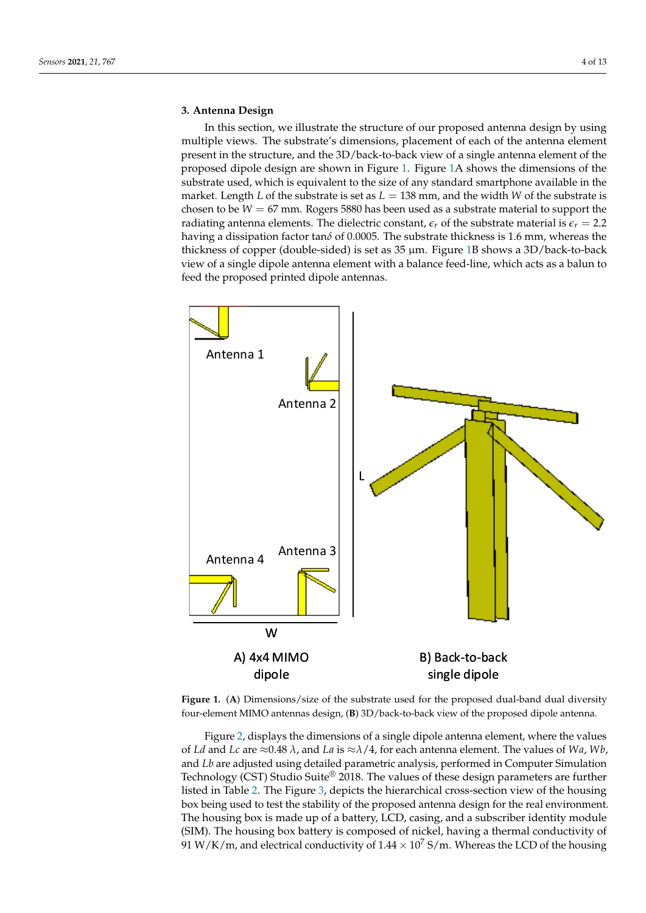# <span id="page-3-0"></span>**3. Antenna Design**

In this section, we illustrate the structure of our proposed antenna design by using multiple views. The substrate's dimensions, placement of each of the antenna element present in the structure, and the 3D/back-to-back view of a single antenna element of the proposed dipole design are shown in Figure [1.](#page-3-1) Figure [1A](#page-3-1) shows the dimensions of the substrate used, which is equivalent to the size of any standard smartphone available in the market. Length *L* of the substrate is set as  $L = 138$  mm, and the width *W* of the substrate is chosen to be  $W = 67$  mm. Rogers 5880 has been used as a substrate material to support the radiating antenna elements. The dielectric constant,  $\epsilon_r$  of the substrate material is  $\epsilon_r = 2.2$ having a dissipation factor tan*δ* of 0.0005. The substrate thickness is 1.6 mm, whereas the thickness of copper (double-sided) is set as 35 µm. Figure [1B](#page-3-1) shows a 3D/back-to-back view of a single dipole antenna element with a balance feed-line, which acts as a balun to feed the proposed printed dipole antennas.

<span id="page-3-1"></span>

**Figure 1.** (**A**) Dimensions/size of the substrate used for the proposed dual-band dual diversity four-element MIMO antennas design, (**B**) 3D/back-to-back view of the proposed dipole antenna.

Figure [2,](#page-4-0) displays the dimensions of a single dipole antenna element, where the values of *Ld* and *Lc* are ≈0.48 *λ*, and *La* is ≈*λ*/4, for each antenna element. The values of *Wa*, *Wb*, and *Lb* are adjusted using detailed parametric analysis, performed in Computer Simulation Technology (CST) Studio Suite® 2018. The values of these design parameters are further listed in Table [2.](#page-4-1) The Figure [3,](#page-4-2) depicts the hierarchical cross-section view of the housing box being used to test the stability of the proposed antenna design for the real environment. The housing box is made up of a battery, LCD, casing, and a subscriber identity module (SIM). The housing box battery is composed of nickel, having a thermal conductivity of 91 W/K/m, and electrical conductivity of  $1.44 \times 10^7$  S/m. Whereas the LCD of the housing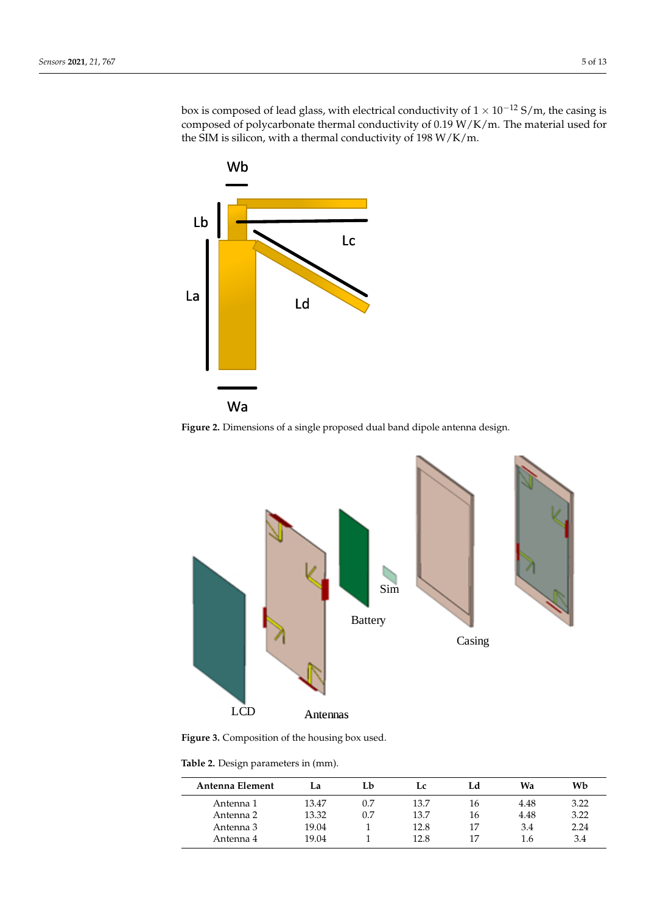box is composed of lead glass, with electrical conductivity of  $1 \times 10^{-12}$  S/m, the casing is composed of polycarbonate thermal conductivity of 0.19 W/K/m. The material used for the SIM is silicon, with a thermal conductivity of 198 W/K/m.

<span id="page-4-0"></span>

**Figure 2.** Dimensions of a single proposed dual band dipole antenna design.

<span id="page-4-2"></span>

**Figure 3.** Composition of the housing box used.

<span id="page-4-1"></span>**Table 2.** Design parameters in (mm).

| Antenna Element | La    | Lb  | Lc   | Ld | Wa   | Wb   |
|-----------------|-------|-----|------|----|------|------|
| Antenna 1       | 13.47 | 0.7 | 13.7 | 16 | 4.48 | 3.22 |
| Antenna 2       | 13.32 | 0.7 | 13.7 | 16 | 4.48 | 3.22 |
| Antenna 3       | 19.04 |     | 12.8 | 17 | 3.4  | 2.24 |
| Antenna 4       | 19.04 |     | 12.8 | 17 | 1.6  | 3.4  |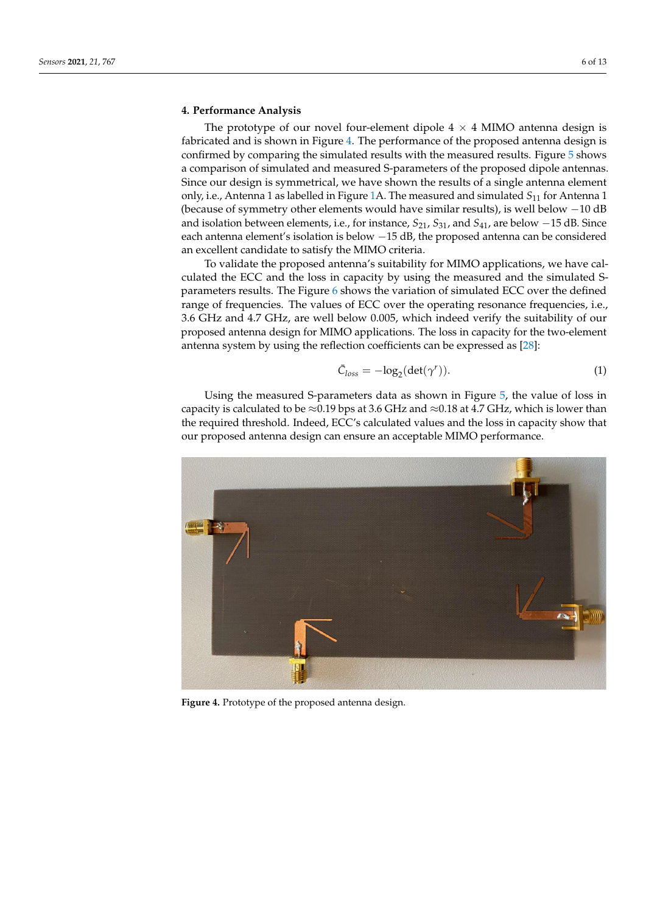## <span id="page-5-0"></span>**4. Performance Analysis**

The prototype of our novel four-element dipole  $4 \times 4$  MIMO antenna design is fabricated and is shown in Figure [4.](#page-5-1) The performance of the proposed antenna design is confirmed by comparing the simulated results with the measured results. Figure [5](#page-6-0) shows a comparison of simulated and measured S-parameters of the proposed dipole antennas. Since our design is symmetrical, we have shown the results of a single antenna element only, i.e., Antenna 1 as labelled in Figure [1A](#page-3-1). The measured and simulated *S*<sup>11</sup> for Antenna 1 (because of symmetry other elements would have similar results), is well below −10 dB and isolation between elements, i.e., for instance, *S*21, *S*31, and *S*41, are below −15 dB. Since each antenna element's isolation is below −15 dB, the proposed antenna can be considered an excellent candidate to satisfy the MIMO criteria.

To validate the proposed antenna's suitability for MIMO applications, we have calculated the ECC and the loss in capacity by using the measured and the simulated Sparameters results. The Figure [6](#page-6-1) shows the variation of simulated ECC over the defined range of frequencies. The values of ECC over the operating resonance frequencies, i.e., 3.6 GHz and 4.7 GHz, are well below 0.005, which indeed verify the suitability of our proposed antenna design for MIMO applications. The loss in capacity for the two-element antenna system by using the reflection coefficients can be expressed as [\[28\]](#page-12-7):

$$
\bar{C}_{loss} = -\log_2(\det(\gamma^r)).\tag{1}
$$

Using the measured S-parameters data as shown in Figure [5,](#page-6-0) the value of loss in capacity is calculated to be  $\approx$ 0.19 bps at 3.6 GHz and  $\approx$ 0.18 at 4.7 GHz, which is lower than the required threshold. Indeed, ECC's calculated values and the loss in capacity show that our proposed antenna design can ensure an acceptable MIMO performance.

<span id="page-5-1"></span>

**Figure 4.** Prototype of the proposed antenna design.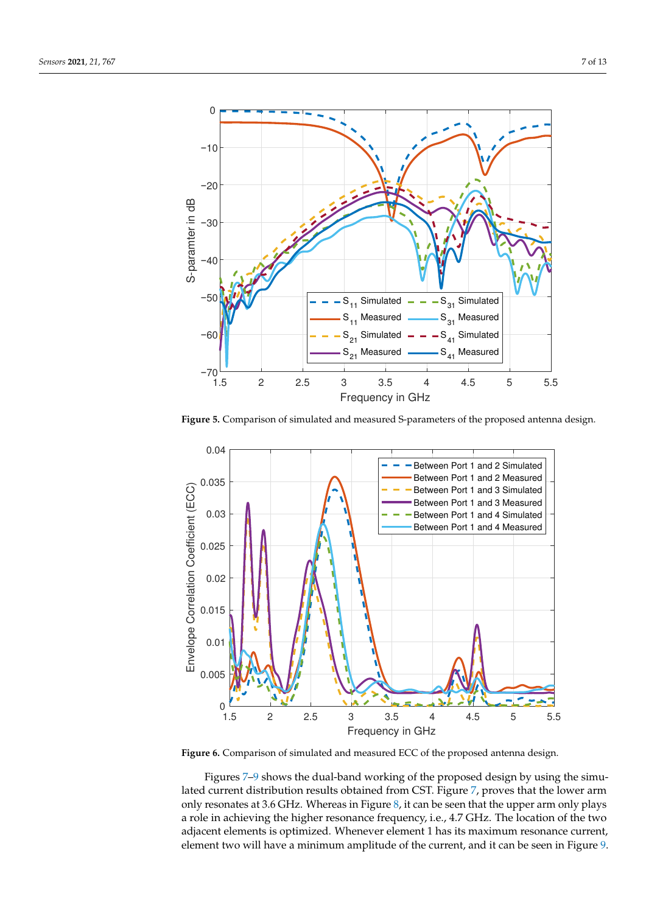<span id="page-6-0"></span>

**Figure 5.** Comparison of simulated and measured S-parameters of the proposed antenna design.

<span id="page-6-1"></span>

**Figure 6.** Comparison of simulated and measured ECC of the proposed antenna design.

Figures [7–](#page-7-0)[9](#page-8-0) shows the dual-band working of the proposed design by using the simulated current distribution results obtained from CST. Figure [7,](#page-7-0) proves that the lower arm only resonates at 3.6 GHz. Whereas in Figure [8,](#page-7-1) it can be seen that the upper arm only plays a role in achieving the higher resonance frequency, i.e., 4.7 GHz. The location of the two adjacent elements is optimized. Whenever element 1 has its maximum resonance current, element two will have a minimum amplitude of the current, and it can be seen in Figure [9.](#page-8-0)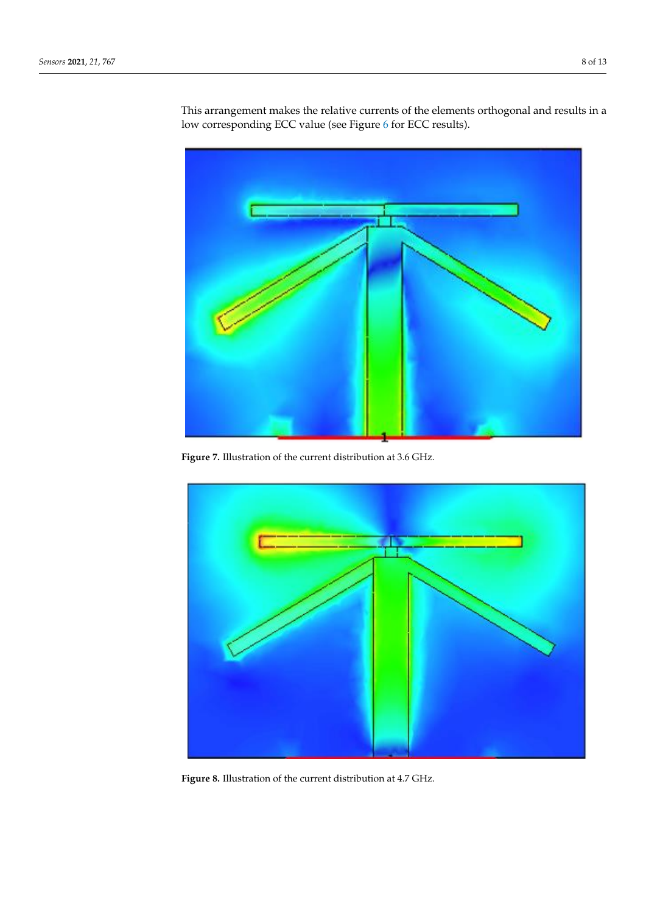<span id="page-7-0"></span>

This arrangement makes the relative currents of the elements orthogonal and results in a low corresponding ECC value (see Figure [6](#page-6-1) for ECC results).

<span id="page-7-1"></span>**Figure 7.** Illustration of the current distribution at 3.6 GHz.



**Figure 8.** Illustration of the current distribution at 4.7 GHz.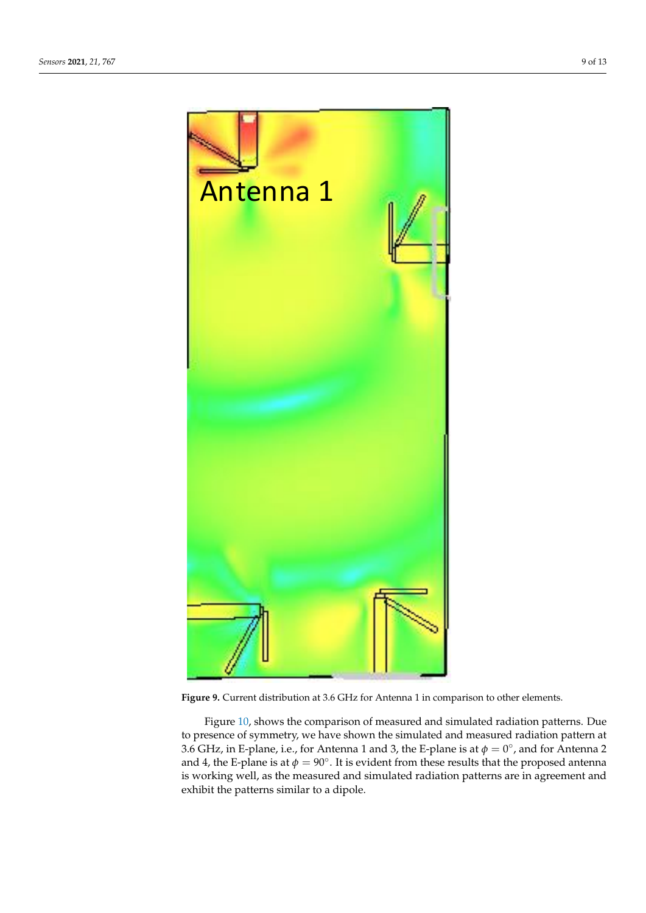<span id="page-8-0"></span>

**Figure 9.** Current distribution at 3.6 GHz for Antenna 1 in comparison to other elements.

Figure [10,](#page-9-0) shows the comparison of measured and simulated radiation patterns. Due to presence of symmetry, we have shown the simulated and measured radiation pattern at 3.6 GHz, in E-plane, i.e., for Antenna 1 and 3, the E-plane is at  $\phi = 0^{\circ}$ , and for Antenna 2 and 4, the E-plane is at  $\phi = 90^\circ$ . It is evident from these results that the proposed antenna is working well, as the measured and simulated radiation patterns are in agreement and exhibit the patterns similar to a dipole.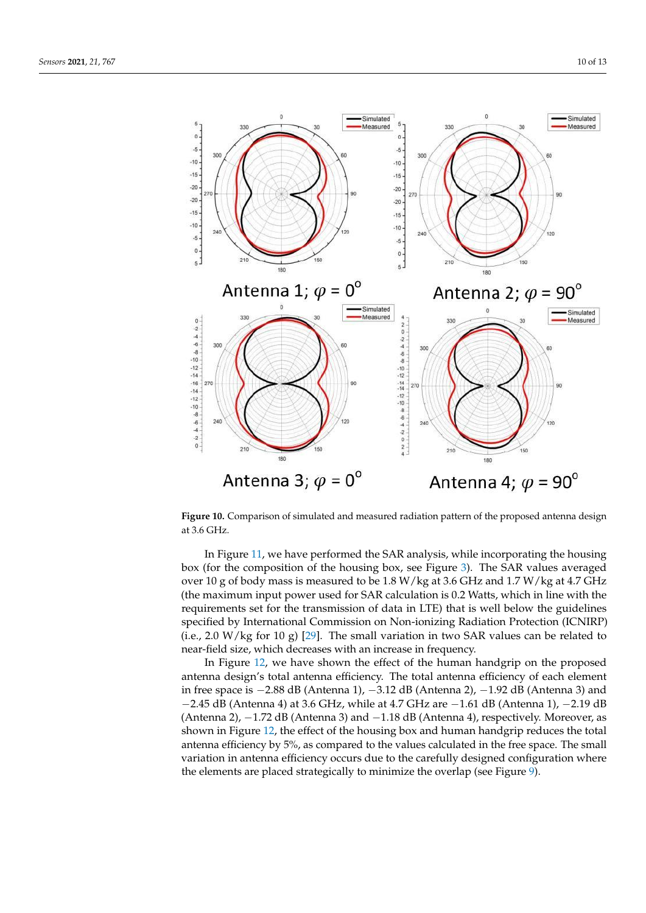<span id="page-9-0"></span>

**Figure 10.** Comparison of simulated and measured radiation pattern of the proposed antenna design at 3.6 GHz.

In Figure [11,](#page-10-1) we have performed the SAR analysis, while incorporating the housing box (for the composition of the housing box, see Figure [3\)](#page-4-2). The SAR values averaged over 10 g of body mass is measured to be 1.8 W/kg at 3.6 GHz and 1.7 W/kg at 4.7 GHz (the maximum input power used for SAR calculation is 0.2 Watts, which in line with the requirements set for the transmission of data in LTE) that is well below the guidelines specified by International Commission on Non-ionizing Radiation Protection (ICNIRP) (i.e., 2.0 W/kg for 10 g) [\[29\]](#page-12-8). The small variation in two SAR values can be related to near-field size, which decreases with an increase in frequency.

In Figure [12,](#page-10-2) we have shown the effect of the human handgrip on the proposed antenna design's total antenna efficiency. The total antenna efficiency of each element in free space is −2.88 dB (Antenna 1), −3.12 dB (Antenna 2), −1.92 dB (Antenna 3) and −2.45 dB (Antenna 4) at 3.6 GHz, while at 4.7 GHz are −1.61 dB (Antenna 1), −2.19 dB (Antenna 2), −1.72 dB (Antenna 3) and −1.18 dB (Antenna 4), respectively. Moreover, as shown in Figure [12,](#page-10-2) the effect of the housing box and human handgrip reduces the total antenna efficiency by 5%, as compared to the values calculated in the free space. The small variation in antenna efficiency occurs due to the carefully designed configuration where the elements are placed strategically to minimize the overlap (see Figure [9\)](#page-8-0).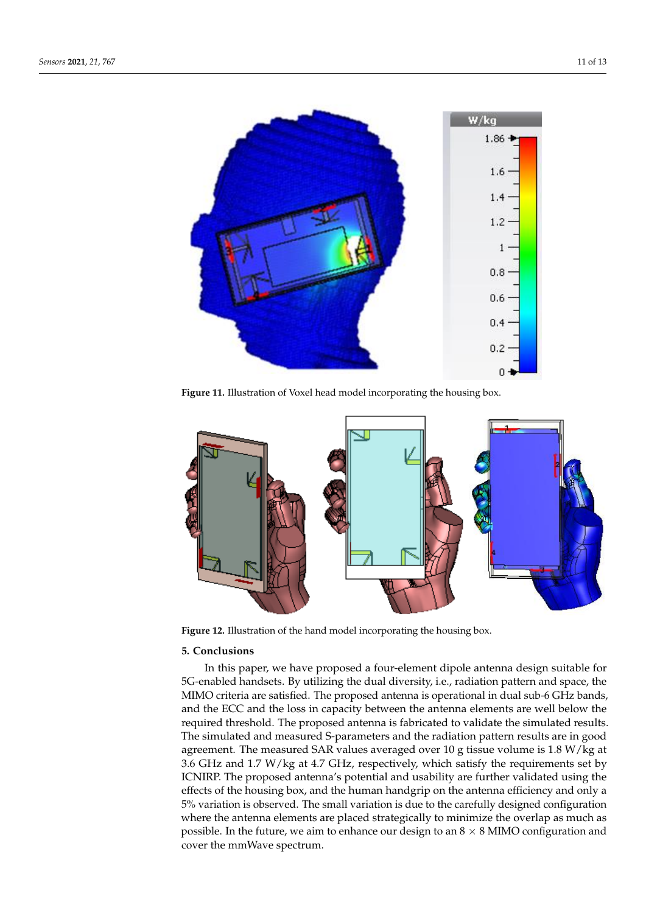<span id="page-10-1"></span>

**Figure 11.** Illustration of Voxel head model incorporating the housing box.

<span id="page-10-2"></span>

**Figure 12.** Illustration of the hand model incorporating the housing box.

# <span id="page-10-0"></span>**5. Conclusions**

In this paper, we have proposed a four-element dipole antenna design suitable for 5G-enabled handsets. By utilizing the dual diversity, i.e., radiation pattern and space, the MIMO criteria are satisfied. The proposed antenna is operational in dual sub-6 GHz bands, and the ECC and the loss in capacity between the antenna elements are well below the required threshold. The proposed antenna is fabricated to validate the simulated results. The simulated and measured S-parameters and the radiation pattern results are in good agreement. The measured SAR values averaged over 10 g tissue volume is 1.8 W/kg at 3.6 GHz and 1.7 W/kg at 4.7 GHz, respectively, which satisfy the requirements set by ICNIRP. The proposed antenna's potential and usability are further validated using the effects of the housing box, and the human handgrip on the antenna efficiency and only a 5% variation is observed. The small variation is due to the carefully designed configuration where the antenna elements are placed strategically to minimize the overlap as much as possible. In the future, we aim to enhance our design to an  $8 \times 8$  MIMO configuration and cover the mmWave spectrum.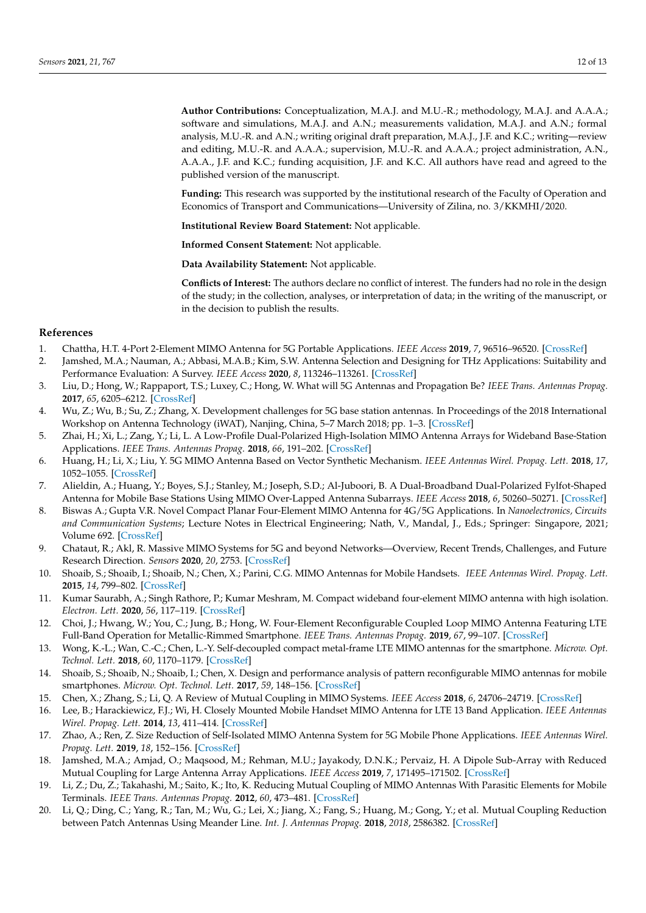**Author Contributions:** Conceptualization, M.A.J. and M.U.-R.; methodology, M.A.J. and A.A.A.; software and simulations, M.A.J. and A.N.; measurements validation, M.A.J. and A.N.; formal analysis, M.U.-R. and A.N.; writing original draft preparation, M.A.J., J.F. and K.C.; writing—review and editing, M.U.-R. and A.A.A.; supervision, M.U.-R. and A.A.A.; project administration, A.N., A.A.A., J.F. and K.C.; funding acquisition, J.F. and K.C. All authors have read and agreed to the published version of the manuscript.

**Funding:** This research was supported by the institutional research of the Faculty of Operation and Economics of Transport and Communications—University of Zilina, no. 3/KKMHI/2020.

**Institutional Review Board Statement:** Not applicable.

**Informed Consent Statement:** Not applicable.

**Data Availability Statement:** Not applicable.

**Conflicts of Interest:** The authors declare no conflict of interest. The funders had no role in the design of the study; in the collection, analyses, or interpretation of data; in the writing of the manuscript, or in the decision to publish the results.

### **References**

- <span id="page-11-0"></span>1. Chattha, H.T. 4-Port 2-Element MIMO Antenna for 5G Portable Applications. *IEEE Access* **2019**, *7*, 96516–96520. [\[CrossRef\]](http://doi.org/10.1109/ACCESS.2019.2925351)
- <span id="page-11-1"></span>2. Jamshed, M.A.; Nauman, A.; Abbasi, M.A.B.; Kim, S.W. Antenna Selection and Designing for THz Applications: Suitability and Performance Evaluation: A Survey. *IEEE Access* **2020**, *8*, 113246–113261. [\[CrossRef\]](http://dx.doi.org/10.1109/ACCESS.2020.3002989)
- <span id="page-11-2"></span>3. Liu, D.; Hong, W.; Rappaport, T.S.; Luxey, C.; Hong, W. What will 5G Antennas and Propagation Be? *IEEE Trans. Antennas Propag.* **2017**, *65*, 6205–6212. [\[CrossRef\]](http://dx.doi.org/10.1109/TAP.2017.2774707)
- <span id="page-11-3"></span>4. Wu, Z.; Wu, B.; Su, Z.; Zhang, X. Development challenges for 5G base station antennas. In Proceedings of the 2018 International Workshop on Antenna Technology (iWAT), Nanjing, China, 5–7 March 2018; pp. 1–3. [\[CrossRef\]](http://dx.doi.org/10.1109/IWAT.2018.8379163)
- <span id="page-11-4"></span>5. Zhai, H.; Xi, L.; Zang, Y.; Li, L. A Low-Profile Dual-Polarized High-Isolation MIMO Antenna Arrays for Wideband Base-Station Applications. *IEEE Trans. Antennas Propag.* **2018**, *66*, 191–202. [\[CrossRef\]](http://dx.doi.org/10.1109/TAP.2017.2776346)
- <span id="page-11-5"></span>6. Huang, H.; Li, X.; Liu, Y. 5G MIMO Antenna Based on Vector Synthetic Mechanism. *IEEE Antennas Wirel. Propag. Lett.* **2018**, *17*, 1052–1055. [\[CrossRef\]](http://dx.doi.org/10.1109/LAWP.2018.2830807)
- <span id="page-11-6"></span>7. Alieldin, A.; Huang, Y.; Boyes, S.J.; Stanley, M.; Joseph, S.D.; Al-Juboori, B. A Dual-Broadband Dual-Polarized Fylfot-Shaped Antenna for Mobile Base Stations Using MIMO Over-Lapped Antenna Subarrays. *IEEE Access* **2018**, *6*, 50260–50271. [\[CrossRef\]](http://dx.doi.org/10.1109/ACCESS.2018.2868817)
- <span id="page-11-7"></span>8. Biswas A.; Gupta V.R. Novel Compact Planar Four-Element MIMO Antenna for 4G/5G Applications. In *Nanoelectronics, Circuits and Communication Systems*; Lecture Notes in Electrical Engineering; Nath, V., Mandal, J., Eds.; Springer: Singapore, 2021; Volume 692. [\[CrossRef\]](http://dx.doi.org/10.1007/978-981-15-7486-3-12)
- <span id="page-11-8"></span>9. Chataut, R.; Akl, R. Massive MIMO Systems for 5G and beyond Networks—Overview, Recent Trends, Challenges, and Future Research Direction. *Sensors* **2020**, *20*, 2753. [\[CrossRef\]](http://dx.doi.org/10.3390/s20102753)
- <span id="page-11-9"></span>10. Shoaib, S.; Shoaib, I.; Shoaib, N.; Chen, X.; Parini, C.G. MIMO Antennas for Mobile Handsets. *IEEE Antennas Wirel. Propag. Lett.* **2015**, *14*, 799–802. [\[CrossRef\]](http://dx.doi.org/10.1109/LAWP.2014.2385593)
- <span id="page-11-10"></span>11. Kumar Saurabh, A.; Singh Rathore, P.; Kumar Meshram, M. Compact wideband four-element MIMO antenna with high isolation. *Electron. Lett.* **2020**, *56*, 117–119. [\[CrossRef\]](http://dx.doi.org/10.1049/el.2019.2871)
- <span id="page-11-11"></span>12. Choi, J.; Hwang, W.; You, C.; Jung, B.; Hong, W. Four-Element Reconfigurable Coupled Loop MIMO Antenna Featuring LTE Full-Band Operation for Metallic-Rimmed Smartphone. *IEEE Trans. Antennas Propag.* **2019**, *67*, 99–107. [\[CrossRef\]](http://dx.doi.org/10.1109/TAP.2018.2877299)
- <span id="page-11-12"></span>13. Wong, K.-L.; Wan, C.-C.; Chen, L.-Y. Self-decoupled compact metal-frame LTE MIMO antennas for the smartphone. *Microw. Opt. Technol. Lett.* **2018**, *60*, 1170–1179. [\[CrossRef\]](http://dx.doi.org/10.1002/mop.31129)
- <span id="page-11-13"></span>14. Shoaib, S.; Shoaib, N.; Shoaib, I.; Chen, X. Design and performance analysis of pattern reconfigurable MIMO antennas for mobile smartphones. *Microw. Opt. Technol. Lett.* **2017**, *59*, 148–156. [\[CrossRef\]](http://dx.doi.org/10.1002/mop.30256)
- <span id="page-11-14"></span>15. Chen, X.; Zhang, S.; Li, Q. A Review of Mutual Coupling in MIMO Systems. *IEEE Access* **2018**, *6*, 24706–24719. [\[CrossRef\]](http://dx.doi.org/10.1109/ACCESS.2018.2830653)
- <span id="page-11-15"></span>16. Lee, B.; Harackiewicz, F.J.; Wi, H. Closely Mounted Mobile Handset MIMO Antenna for LTE 13 Band Application. *IEEE Antennas Wirel. Propag. Lett.* **2014**, *13*, 411–414. [\[CrossRef\]](http://dx.doi.org/10.1109/LAWP.2014.2307310)
- <span id="page-11-16"></span>17. Zhao, A.; Ren, Z. Size Reduction of Self-Isolated MIMO Antenna System for 5G Mobile Phone Applications. *IEEE Antennas Wirel. Propag. Lett.* **2019**, *18*, 152–156. [\[CrossRef\]](http://dx.doi.org/10.1109/LAWP.2018.2883428)
- <span id="page-11-17"></span>18. Jamshed, M.A.; Amjad, O.; Maqsood, M.; Rehman, M.U.; Jayakody, D.N.K.; Pervaiz, H. A Dipole Sub-Array with Reduced Mutual Coupling for Large Antenna Array Applications. *IEEE Access* **2019**, *7*, 171495–171502. [\[CrossRef\]](http://dx.doi.org/10.1109/ACCESS.2019.2955855)
- <span id="page-11-18"></span>19. Li, Z.; Du, Z.; Takahashi, M.; Saito, K.; Ito, K. Reducing Mutual Coupling of MIMO Antennas With Parasitic Elements for Mobile Terminals. *IEEE Trans. Antennas Propag.* **2012**, *60*, 473–481. [\[CrossRef\]](http://dx.doi.org/10.1109/TAP.2011.2173432)
- <span id="page-11-19"></span>20. Li, Q.; Ding, C.; Yang, R.; Tan, M.; Wu, G.; Lei, X.; Jiang, X.; Fang, S.; Huang, M.; Gong, Y.; et al. Mutual Coupling Reduction between Patch Antennas Using Meander Line. *Int. J. Antennas Propag.* **2018**, *2018*, 2586382. [\[CrossRef\]](http://dx.doi.org/10.1155/2018/2586382)